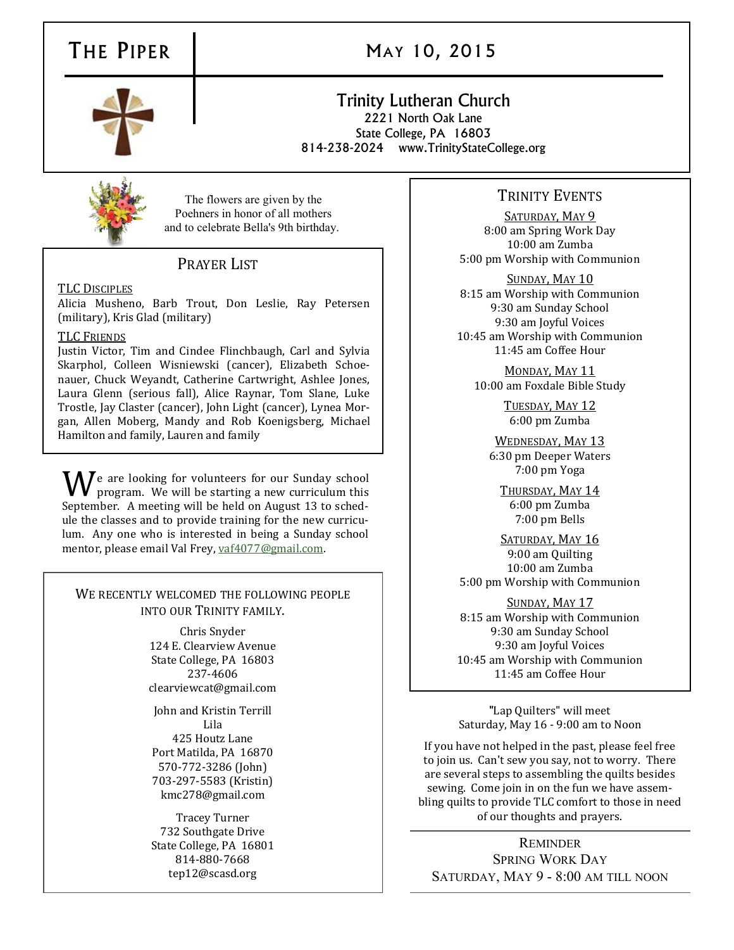# THE PIPER 1 MAY 10, 2015

# Trinity Lutheran Church 2221 North Oak Lane

State College, PA 16803 814-238-2024 www.TrinityStateCollege.org



The flowers are given by the Poehners in honor of all mothers and to celebrate Bella's 9th birthday.

# PRAYER LIST

#### TLC DISCIPLES

Alicia Musheno, Barb Trout, Don Leslie, Ray Petersen (military), Kris Glad (military)

### TLC FRIENDS

Justin Victor, Tim and Cindee Flinchbaugh, Carl and Sylvia Skarphol, Colleen Wisniewski (cancer), Elizabeth Schoenauer, Chuck Weyandt, Catherine Cartwright, Ashlee Jones, Laura Glenn (serious fall), Alice Raynar, Tom Slane, Luke Trostle, Jay Claster (cancer), John Light (cancer), Lynea Morgan, Allen Moberg, Mandy and Rob Koenigsberg, Michael Hamilton and family, Lauren and family

We are looking for volunteers for our Sunday school program. We will be starting a new curriculum this September. A meeting will be held on August 13 to schedule the classes and to provide training for the new curriculum. Any one who is interested in being a Sunday school mentor, please email Val Frey, [vaf4077@gmail.com.](mailto:vaf4077@gmail.com)

#### WE RECENTLY WELCOMED THE FOLLOWING PEOPLE INTO OUR TRINITY FAMILY.

Chris Snyder 124 E. Clearview Avenue State College, PA 16803 237-4606 clearviewcat@gmail.com

John and Kristin Terrill Lila 425 Houtz Lane Port Matilda, PA 16870 570-772-3286 (John) 703-297-5583 (Kristin) kmc278@gmail.com

Tracey Turner 732 Southgate Drive State College, PA 16801 814-880-7668 tep12@scasd.org

# TRINITY EVENTS

SATURDAY, MAY 9 8:00 am Spring Work Day 10:00 am Zumba 5:00 pm Worship with Communion

SUNDAY, MAY 10 8:15 am Worship with Communion 9:30 am Sunday School 9:30 am Joyful Voices 10:45 am Worship with Communion 11:45 am Coffee Hour

MONDAY, MAY 11 10:00 am Foxdale Bible Study

> TUESDAY, MAY 12 6:00 pm Zumba

WEDNESDAY, MAY 13 6:30 pm Deeper Waters 7:00 pm Yoga

THURSDAY, MAY 14 6:00 pm Zumba 7:00 pm Bells

SATURDAY, MAY 16 9:00 am Quilting 10:00 am Zumba 5:00 pm Worship with Communion

SUNDAY, MAY 17 8:15 am Worship with Communion 9:30 am Sunday School 9:30 am Joyful Voices 10:45 am Worship with Communion 11:45 am Coffee Hour

"Lap Quilters" will meet Saturday, May 16 - 9:00 am to Noon

If you have not helped in the past, please feel free to join us. Can't sew you say, not to worry. There are several steps to assembling the quilts besides sewing. Come join in on the fun we have assembling quilts to provide TLC comfort to those in need of our thoughts and prayers.

REMINDER SPRING WORK DAY SATURDAY, MAY 9 - 8:00 AM TILL NOON